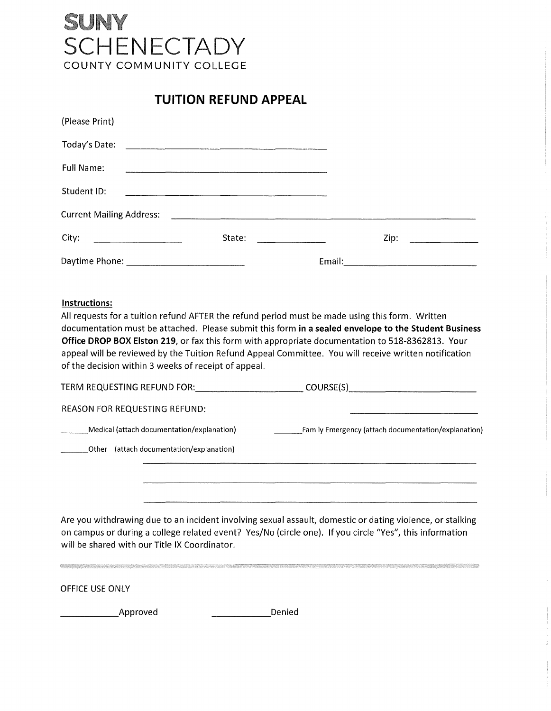## SUNY SCHENECTADY COUNTY COMMUNITY COLLEGE

**TUITION REFUND APPEAL** 

| (Please Print)                                                                                                                          |        |                                                                                                                                                                                                                                                                                                                                                                                                 |      |  |
|-----------------------------------------------------------------------------------------------------------------------------------------|--------|-------------------------------------------------------------------------------------------------------------------------------------------------------------------------------------------------------------------------------------------------------------------------------------------------------------------------------------------------------------------------------------------------|------|--|
|                                                                                                                                         |        |                                                                                                                                                                                                                                                                                                                                                                                                 |      |  |
| <b>Full Name:</b>                                                                                                                       |        |                                                                                                                                                                                                                                                                                                                                                                                                 |      |  |
| Student ID:                                                                                                                             |        |                                                                                                                                                                                                                                                                                                                                                                                                 |      |  |
| <b>Current Mailing Address:</b>                                                                                                         |        |                                                                                                                                                                                                                                                                                                                                                                                                 |      |  |
| City:<br>$\overline{\phantom{a}}$ . The contract of the contract of $\overline{\phantom{a}}$ . The contract of $\overline{\phantom{a}}$ | State: | $\frac{1}{2} \left( \frac{1}{2} \frac{1}{2} \left( \frac{1}{2} \frac{1}{2} \frac{1}{2} \frac{1}{2} \frac{1}{2} \frac{1}{2} \frac{1}{2} \frac{1}{2} \frac{1}{2} \frac{1}{2} \frac{1}{2} \frac{1}{2} \frac{1}{2} \frac{1}{2} \frac{1}{2} \frac{1}{2} \frac{1}{2} \frac{1}{2} \frac{1}{2} \frac{1}{2} \frac{1}{2} \frac{1}{2} \frac{1}{2} \frac{1}{2} \frac{1}{2} \frac{1}{2} \frac{1}{2} \frac{1$ | Zip: |  |
|                                                                                                                                         |        | Email:                                                                                                                                                                                                                                                                                                                                                                                          |      |  |

## **Instructions:**

All requests for a tuition refund AFTER the refund period must be made using this form. Written documentation must be attached. Please submit this form **in a sealed envelope to the Student Business Office DROP BOX Elston 219,** or fax this form with appropriate documentation to 518-8362813. Your appeal will be reviewed by the Tuition Refund Appeal Committee. You will receive written notification of the decision within 3 weeks of receipt of appeal.

| COURSE(S)                                           |  |
|-----------------------------------------------------|--|
|                                                     |  |
| Family Emergency (attach documentation/explanation) |  |
|                                                     |  |
|                                                     |  |
|                                                     |  |
|                                                     |  |

Are you withdrawing due to an incident involving sexual assault, domestic or dating violence, or stalking on campus or during a college related event? Yes/No (circle one). If you circle "Yes", this information will be shared with our Title IX Coordinator.

OFFICE USE ONLY

\_\_\_\_\_ Approved \_\_\_\_\_ Denied